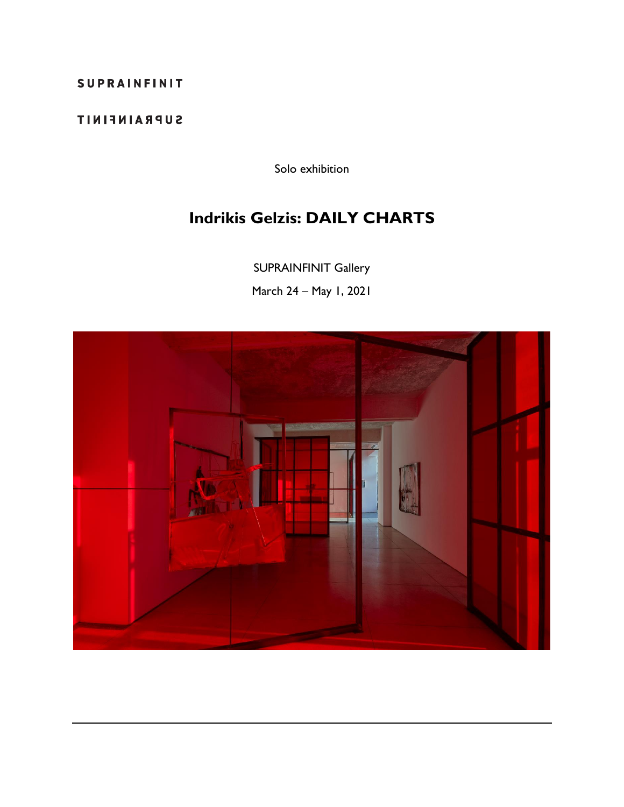## SUPRAINFINIT

## **SUPRAINFINIT**

Solo exhibition

## **Indrikis Gelzis: DAILY CHARTS**

SUPRAINFINIT Gallery

March 24 – May 1, 2021